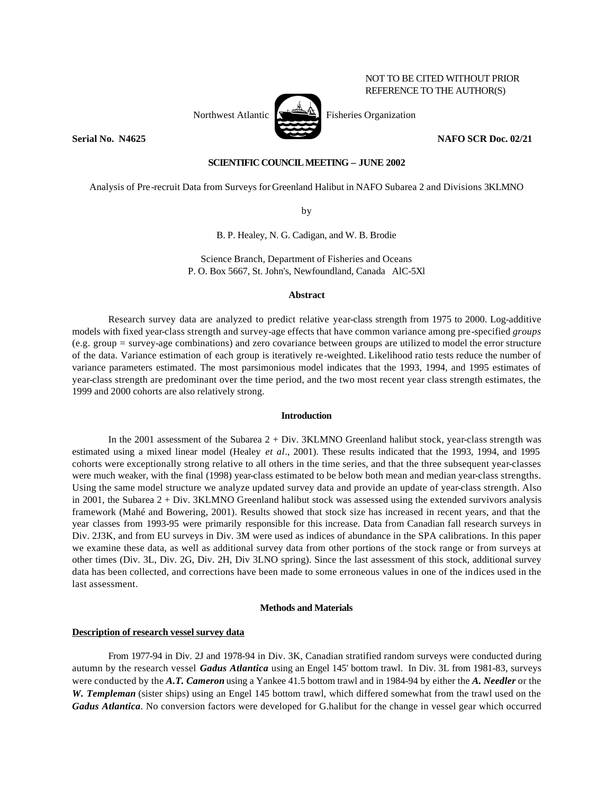# NOT TO BE CITED WITHOUT PRIOR REFERENCE TO THE AUTHOR(S)



**Serial No. N4625 NAFO SCR Doc. 02/21** 

## **SCIENTIFIC COUNCIL MEETING – JUNE 2002**

Analysis of Pre-recruit Data from Surveys for Greenland Halibut in NAFO Subarea 2 and Divisions 3KLMNO

by

B. P. Healey, N. G. Cadigan, and W. B. Brodie

Science Branch, Department of Fisheries and Oceans P. O. Box 5667, St. John's, Newfoundland, Canada AlC-5Xl

### **Abstract**

Research survey data are analyzed to predict relative year-class strength from 1975 to 2000. Log-additive models with fixed year-class strength and survey-age effects that have common variance among pre-specified *groups*  (e.g. group = survey-age combinations) and zero covariance between groups are utilized to model the error structure of the data. Variance estimation of each group is iteratively re-weighted. Likelihood ratio tests reduce the number of variance parameters estimated. The most parsimonious model indicates that the 1993, 1994, and 1995 estimates of year-class strength are predominant over the time period, and the two most recent year class strength estimates, the 1999 and 2000 cohorts are also relatively strong.

### **Introduction**

In the 2001 assessment of the Subarea 2 + Div. 3KLMNO Greenland halibut stock, year-class strength was estimated using a mixed linear model (Healey *et al*., 2001). These results indicated that the 1993, 1994, and 1995 cohorts were exceptionally strong relative to all others in the time series, and that the three subsequent year-classes were much weaker, with the final (1998) year-class estimated to be below both mean and median year-class strengths. Using the same model structure we analyze updated survey data and provide an update of year-class strength. Also in 2001, the Subarea 2 + Div. 3KLMNO Greenland halibut stock was assessed using the extended survivors analysis framework (Mahé and Bowering, 2001). Results showed that stock size has increased in recent years, and that the year classes from 1993-95 were primarily responsible for this increase. Data from Canadian fall research surveys in Div. 2J3K, and from EU surveys in Div. 3M were used as indices of abundance in the SPA calibrations. In this paper we examine these data, as well as additional survey data from other portions of the stock range or from surveys at other times (Div. 3L, Div. 2G, Div. 2H, Div 3LNO spring). Since the last assessment of this stock, additional survey data has been collected, and corrections have been made to some erroneous values in one of the indices used in the last assessment.

### **Methods and Materials**

### **Description of research vessel survey data**

From 1977-94 in Div. 2J and 1978-94 in Div. 3K, Canadian stratified random surveys were conducted during autumn by the research vessel *Gadus Atlantica* using an Engel 145' bottom trawl. In Div. 3L from 1981-83, surveys were conducted by the *A.T. Cameron* using a Yankee 41.5 bottom trawl and in 1984-94 by either the *A. Needler* or the *W. Templeman* (sister ships) using an Engel 145 bottom trawl, which differed somewhat from the trawl used on the *Gadus Atlantica*. No conversion factors were developed for G.halibut for the change in vessel gear which occurred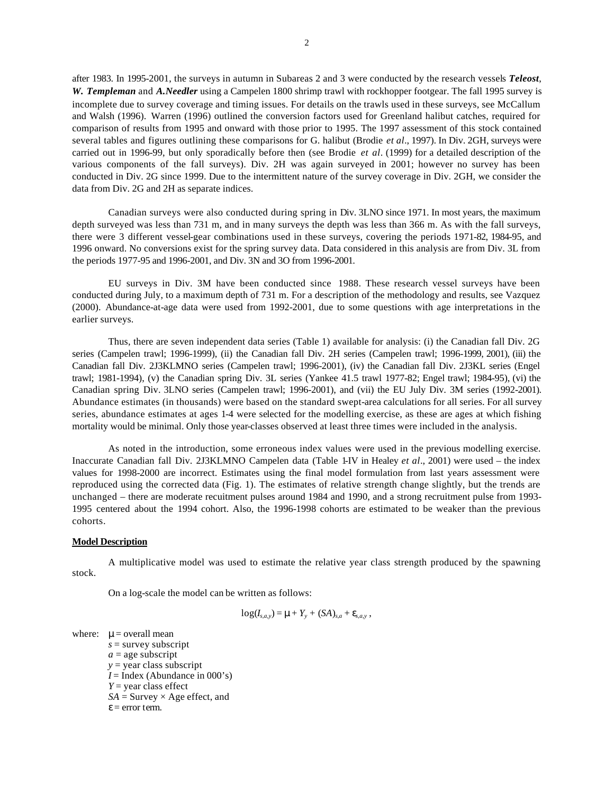after 1983. In 1995-2001, the surveys in autumn in Subareas 2 and 3 were conducted by the research vessels *Teleost*, *W. Templeman* and *A.Needler* using a Campelen 1800 shrimp trawl with rockhopper footgear. The fall 1995 survey is incomplete due to survey coverage and timing issues. For details on the trawls used in these surveys, see McCallum and Walsh (1996). Warren (1996) outlined the conversion factors used for Greenland halibut catches, required for comparison of results from 1995 and onward with those prior to 1995. The 1997 assessment of this stock contained several tables and figures outlining these comparisons for G. halibut (Brodie *et al*., 1997). In Div. 2GH, surveys were carried out in 1996-99, but only sporadically before then (see Brodie *et al*. (1999) for a detailed description of the various components of the fall surveys). Div. 2H was again surveyed in 2001; however no survey has been conducted in Div. 2G since 1999. Due to the intermittent nature of the survey coverage in Div. 2GH, we consider the data from Div. 2G and 2H as separate indices.

Canadian surveys were also conducted during spring in Div. 3LNO since 1971. In most years, the maximum depth surveyed was less than 731 m, and in many surveys the depth was less than 366 m. As with the fall surveys, there were 3 different vessel-gear combinations used in these surveys, covering the periods 1971-82, 1984-95, and 1996 onward. No conversions exist for the spring survey data. Data considered in this analysis are from Div. 3L from the periods 1977-95 and 1996-2001, and Div. 3N and 3O from 1996-2001.

EU surveys in Div. 3M have been conducted since 1988. These research vessel surveys have been conducted during July, to a maximum depth of 731 m. For a description of the methodology and results, see Vazquez (2000). Abundance-at-age data were used from 1992-2001, due to some questions with age interpretations in the earlier surveys.

Thus, there are seven independent data series (Table 1) available for analysis: (i) the Canadian fall Div. 2G series (Campelen trawl; 1996-1999), (ii) the Canadian fall Div. 2H series (Campelen trawl; 1996-1999, 2001), (iii) the Canadian fall Div. 2J3KLMNO series (Campelen trawl; 1996-2001), (iv) the Canadian fall Div. 2J3KL series (Engel trawl; 1981-1994), (v) the Canadian spring Div. 3L series (Yankee 41.5 trawl 1977-82; Engel trawl; 1984-95), (vi) the Canadian spring Div. 3LNO series (Campelen trawl; 1996-2001), and (vii) the EU July Div. 3M series (1992-2001). Abundance estimates (in thousands) were based on the standard swept-area calculations for all series. For all survey series, abundance estimates at ages 1-4 were selected for the modelling exercise, as these are ages at which fishing mortality would be minimal. Only those year-classes observed at least three times were included in the analysis.

As noted in the introduction, some erroneous index values were used in the previous modelling exercise. Inaccurate Canadian fall Div. 2J3KLMNO Campelen data (Table 1-IV in Healey *et al*., 2001) were used – the index values for 1998-2000 are incorrect. Estimates using the final model formulation from last years assessment were reproduced using the corrected data (Fig. 1). The estimates of relative strength change slightly, but the trends are unchanged – there are moderate recuitment pulses around 1984 and 1990, and a strong recruitment pulse from 1993- 1995 centered about the 1994 cohort. Also, the 1996-1998 cohorts are estimated to be weaker than the previous cohorts.

#### **Model Description**

A multiplicative model was used to estimate the relative year class strength produced by the spawning stock.

On a log-scale the model can be written as follows:

$$
\log(I_{s,a,y}) = \mu + Y_{y} + (SA)_{s,a} + \varepsilon_{s,a,y},
$$

where:  $\mu$  = overall mean *s* = survey subscript

 $a =$ age subscript

 $y =$ y year class subscript  $I = \text{Index}$  (Abundance in 000's) *Y* = year class effect  $SA =$  Survey  $\times$  Age effect, and  $\epsilon$  = error term.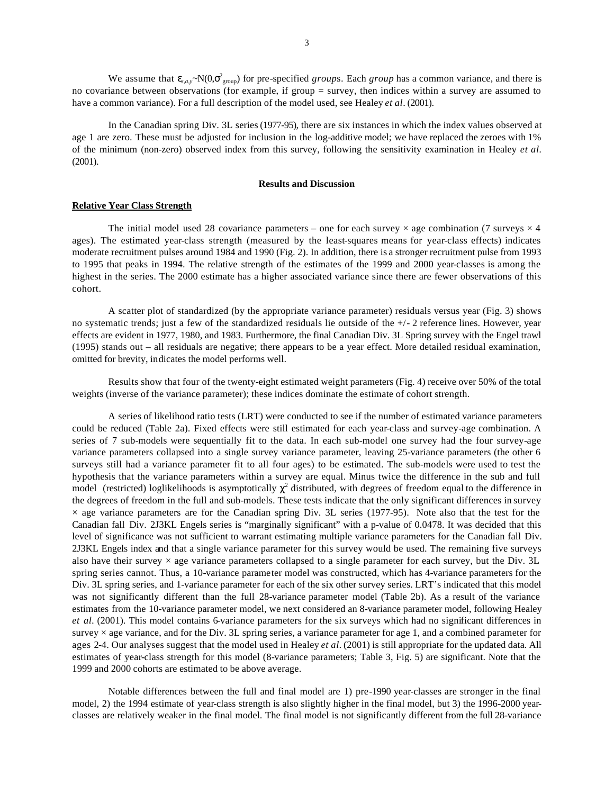We assume that  $\epsilon_{s,a,y} \sim N(0,\sigma_{group}^2)$  for pre-specified *groups*. Each *group* has a common variance, and there is no covariance between observations (for example, if group = survey, then indices within a survey are assumed to have a common variance). For a full description of the model used, see Healey *et al*. (2001).

In the Canadian spring Div. 3L series (1977-95), there are six instances in which the index values observed at age 1 are zero. These must be adjusted for inclusion in the log-additive model; we have replaced the zeroes with 1% of the minimum (non-zero) observed index from this survey, following the sensitivity examination in Healey *et al.* (2001).

#### **Results and Discussion**

## **Relative Year Class Strength**

The initial model used 28 covariance parameters – one for each survey  $\times$  age combination (7 surveys  $\times$  4 ages). The estimated year-class strength (measured by the least-squares means for year-class effects) indicates moderate recruitment pulses around 1984 and 1990 (Fig. 2). In addition, there is a stronger recruitment pulse from 1993 to 1995 that peaks in 1994. The relative strength of the estimates of the 1999 and 2000 year-classes is among the highest in the series. The 2000 estimate has a higher associated variance since there are fewer observations of this cohort.

A scatter plot of standardized (by the appropriate variance parameter) residuals versus year (Fig. 3) shows no systematic trends; just a few of the standardized residuals lie outside of the +/- 2 reference lines. However, year effects are evident in 1977, 1980, and 1983. Furthermore, the final Canadian Div. 3L Spring survey with the Engel trawl (1995) stands out – all residuals are negative; there appears to be a year effect. More detailed residual examination, omitted for brevity, indicates the model performs well.

Results show that four of the twenty-eight estimated weight parameters (Fig. 4) receive over 50% of the total weights (inverse of the variance parameter); these indices dominate the estimate of cohort strength.

A series of likelihood ratio tests (LRT) were conducted to see if the number of estimated variance parameters could be reduced (Table 2a). Fixed effects were still estimated for each year-class and survey-age combination. A series of 7 sub-models were sequentially fit to the data. In each sub-model one survey had the four survey-age variance parameters collapsed into a single survey variance parameter, leaving 25-variance parameters (the other 6 surveys still had a variance parameter fit to all four ages) to be estimated. The sub-models were used to test the hypothesis that the variance parameters within a survey are equal. Minus twice the difference in the sub and full model (restricted) loglikelihoods is asymptotically  $\chi^2$  distributed, with degrees of freedom equal to the difference in the degrees of freedom in the full and sub-models. These tests indicate that the only significant differences in survey  $\times$  age variance parameters are for the Canadian spring Div. 3L series (1977-95). Note also that the test for the Canadian fall Div. 2J3KL Engels series is "marginally significant" with a p-value of 0.0478. It was decided that this level of significance was not sufficient to warrant estimating multiple variance parameters for the Canadian fall Div. 2J3KL Engels index and that a single variance parameter for this survey would be used. The remaining five surveys also have their survey  $\times$  age variance parameters collapsed to a single parameter for each survey, but the Div. 3L spring series cannot. Thus, a 10-variance parameter model was constructed, which has 4-variance parameters for the Div. 3L spring series, and 1-variance parameter for each of the six other survey series. LRT's indicated that this model was not significantly different than the full 28-variance parameter model (Table 2b). As a result of the variance estimates from the 10-variance parameter model, we next considered an 8-variance parameter model, following Healey *et al.* (2001). This model contains 6-variance parameters for the six surveys which had no significant differences in survey  $\times$  age variance, and for the Div. 3L spring series, a variance parameter for age 1, and a combined parameter for ages 2-4. Our analyses suggest that the model used in Healey *et al.* (2001) is still appropriate for the updated data. All estimates of year-class strength for this model (8-variance parameters; Table 3, Fig. 5) are significant. Note that the 1999 and 2000 cohorts are estimated to be above average.

Notable differences between the full and final model are 1) pre-1990 year-classes are stronger in the final model, 2) the 1994 estimate of year-class strength is also slightly higher in the final model, but 3) the 1996-2000 yearclasses are relatively weaker in the final model. The final model is not significantly different from the full 28-variance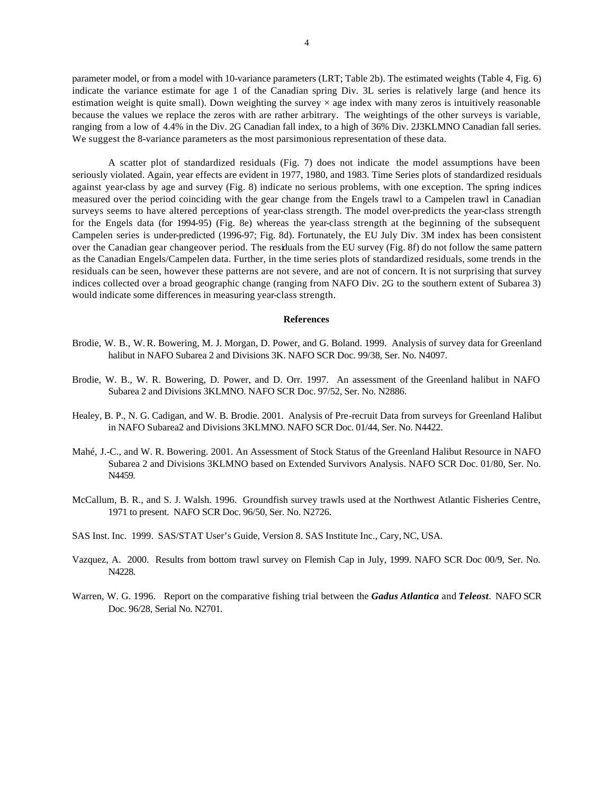parameter model, or from a model with 10-variance parameters (LRT; Table 2b). The estimated weights (Table 4, Fig. 6) indicate the variance estimate for age 1 of the Canadian spring Div. 3L series is relatively large (and hence its estimation weight is quite small). Down weighting the survey  $\times$  age index with many zeros is intuitively reasonable because the values we replace the zeros with are rather arbitrary. The weightings of the other surveys is variable, ranging from a low of 4.4% in the Div. 2G Canadian fall index, to a high of 36% Div. 2J3KLMNO Canadian fall series. We suggest the 8-variance parameters as the most paramonious representation of these data.

A scatter plot of standardized residuals (Fig. 7) does not indicate the model assumptions have been seriously violated. Again, year effects are evident in 1977, 1980, and 1983. Time Series plots of standardized residuals against year-class by age and survey (Fig. 8) indicate no serious problems, with one exception. The spring indices measured over the period coinciding with the gear change from the Engels trawl to a Campelen trawl in Canadian surveys seems to have altered perceptions of year-class strength. The model over-predicts the year-class strength for the Engels data (for 1994-95) (Fig. 8e) whereas the year-class strength at the beginning of the subsequent Campelen series is under-predicted (1996-97; Fig. 8d). Fortunately, the EU July Div. 3M index has been consistent over the Canadian gear changeover period. The residuals from the EU survey (Fig. 8f) do not follow the same pattern as the Canadian Engels/Campelen data. Further, in the time series plots of standardized residuals, some trends in the residuals can be seen, however these patterns are not severe, and are not of concern. It is not surprising that survey indices collected over a broad geographic change (ranging from NAFO Div. 2G to the southern extent of Subarea 3) would indicate some differences in measuring year-class strength.

#### **References**

- Brodie, W. B., W. R. Bowering, M. J. Morgan, D. Power, and G. Boland. 1999. Analysis of survey data for Greenland halibut in NAFO Subarea 2 and Divisions 3K. NAFO SCR Doc. 99/38, Ser. No. N4097.
- Brodie, W. B., W. R. Bowering, D. Power, and D. Orr. 1997. An assessment of the Greenland halibut in NAFO Subarea 2 and Divisions 3KLMNO. NAFO SCR Doc. 97/52, Ser. No. N2886.
- Healey, B. P., N. G. Cadigan, and W. B. Brodie. 2001. Analysis of Pre-recruit Data from surveys for Greenland Halibut in NAFO Subarea2 and Divisions 3KLMNO. NAFO SCR Doc. 01/44, Ser. No. N4422.
- Mahé, J.-C., and W. R. Bowering. 2001. An Assessment of Stock Status of the Greenland Halibut Resource in NAFO Subarea 2 and Divisions 3KLMNO based on Extended Survivors Analysis. NAFO SCR Doc. 01/80, Ser. No. N4459.
- McCallum, B. R., and S. J. Walsh. 1996. Groundfish survey trawls used at the Northwest Atlantic Fisheries Centre, 1971 to present. NAFO SCR Doc. 96/50, Ser. No. N2726.

SAS Inst. Inc. 1999. SAS/STAT User's Guide, Version 8. SAS Institute Inc., Cary, NC, USA.

- Vazquez, A. 2000. Results from bottom trawl survey on Flemish Cap in July, 1999. NAFO SCR Doc 00/9, Ser. No. N4228.
- Warren, W. G. 1996. Report on the comparative fishing trial between the *Gadus Atlantica* and *Teleost*. NAFO SCR Doc. 96/28, Serial No. N2701.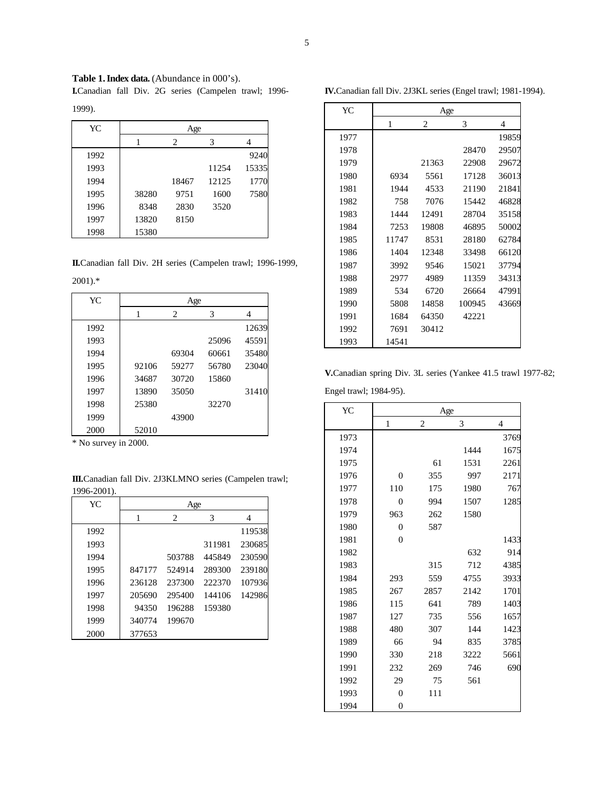Table 1. Index data. (Abundance in 000's).

**I.**Canadian fall Div. 2G series (Campelen trawl; 1996-

|--|

| YC   | Age   |       |       |       |  |
|------|-------|-------|-------|-------|--|
|      |       | 2     | 3     | 4     |  |
| 1992 |       |       |       | 9240  |  |
| 1993 |       |       | 11254 | 15335 |  |
| 1994 |       | 18467 | 12125 | 1770  |  |
| 1995 | 38280 | 9751  | 1600  | 7580  |  |
| 1996 | 8348  | 2830  | 3520  |       |  |
| 1997 | 13820 | 8150  |       |       |  |
| 1998 | 15380 |       |       |       |  |

**II.**Canadian fall Div. 2H series (Campelen trawl; 1996-1999,

2001).\*

| YC   | Age   |                               |       |       |  |
|------|-------|-------------------------------|-------|-------|--|
|      | 1     | $\mathfrak{D}_{\mathfrak{p}}$ | 3     | 4     |  |
| 1992 |       |                               |       | 12639 |  |
| 1993 |       |                               | 25096 | 45591 |  |
| 1994 |       | 69304                         | 60661 | 35480 |  |
| 1995 | 92106 | 59277                         | 56780 | 23040 |  |
| 1996 | 34687 | 30720                         | 15860 |       |  |
| 1997 | 13890 | 35050                         |       | 31410 |  |
| 1998 | 25380 |                               | 32270 |       |  |
| 1999 |       | 43900                         |       |       |  |
| 2000 | 52010 |                               |       |       |  |

\* No survey in 2000.

**III.**Canadian fall Div. 2J3KLMNO series (Campelen trawl; 1996-2001).

| YC   | Age    |                                    |        |        |  |
|------|--------|------------------------------------|--------|--------|--|
|      | 1      | $\mathfrak{D}_{\mathfrak{p}}$<br>3 |        | 4      |  |
| 1992 |        |                                    |        | 119538 |  |
| 1993 |        |                                    | 311981 | 230685 |  |
| 1994 |        | 503788                             | 445849 | 230590 |  |
| 1995 | 847177 | 524914                             | 289300 | 239180 |  |
| 1996 | 236128 | 237300                             | 222370 | 107936 |  |
| 1997 | 205690 | 295400                             | 144106 | 142986 |  |
| 1998 | 94350  | 196288                             | 159380 |        |  |
| 1999 | 340774 | 199670                             |        |        |  |
| 2000 | 377653 |                                    |        |        |  |

| <b>IV.</b> Canadian fall Div. 2J3KL series (Engel trawl; 1981-1994). |
|----------------------------------------------------------------------|
|----------------------------------------------------------------------|

| YC   | Age   |       |        |       |  |
|------|-------|-------|--------|-------|--|
|      | 1     | 2     | 3      | 4     |  |
| 1977 |       |       |        | 19859 |  |
| 1978 |       |       | 28470  | 29507 |  |
| 1979 |       | 21363 | 22908  | 29672 |  |
| 1980 | 6934  | 5561  | 17128  | 36013 |  |
| 1981 | 1944  | 4533  | 21190  | 21841 |  |
| 1982 | 758   | 7076  | 15442  | 46828 |  |
| 1983 | 1444  | 12491 | 28704  | 35158 |  |
| 1984 | 7253  | 19808 | 46895  | 50002 |  |
| 1985 | 11747 | 8531  | 28180  | 62784 |  |
| 1986 | 1404  | 12348 | 33498  | 66120 |  |
| 1987 | 3992  | 9546  | 15021  | 37794 |  |
| 1988 | 2977  | 4989  | 11359  | 34313 |  |
| 1989 | 534   | 6720  | 26664  | 47991 |  |
| 1990 | 5808  | 14858 | 100945 | 43669 |  |
| 1991 | 1684  | 64350 | 42221  |       |  |
| 1992 | 7691  | 30412 |        |       |  |
| 1993 | 14541 |       |        |       |  |

**V.**Canadian spring Div. 3L series (Yankee 41.5 trawl 1977-82; Engel trawl; 1984-95).

| YC   | Age            |                |      |                |  |
|------|----------------|----------------|------|----------------|--|
|      | $\,1$          | $\overline{2}$ | 3    | $\overline{4}$ |  |
| 1973 |                |                |      | 3769           |  |
| 1974 |                |                | 1444 | 1675           |  |
| 1975 |                | 61             | 1531 | 2261           |  |
| 1976 | $\theta$       | 355            | 997  | 2171           |  |
| 1977 | 110            | 175            | 1980 | 767            |  |
| 1978 | $\overline{0}$ | 994            | 1507 | 1285           |  |
| 1979 | 963            | 262            | 1580 |                |  |
| 1980 | $\mathbf{0}$   | 587            |      |                |  |
| 1981 | $\overline{0}$ |                |      | 1433           |  |
| 1982 |                |                | 632  | 914            |  |
| 1983 |                | 315            | 712  | 4385           |  |
| 1984 | 293            | 559            | 4755 | 3933           |  |
| 1985 | 267            | 2857           | 2142 | 1701           |  |
| 1986 | 115            | 641            | 789  | 1403           |  |
| 1987 | 127            | 735            | 556  | 1657           |  |
| 1988 | 480            | 307            | 144  | 1423           |  |
| 1989 | 66             | 94             | 835  | 3785           |  |
| 1990 | 330            | 218            | 3222 | 5661           |  |
| 1991 | 232            | 269            | 746  | 690            |  |
| 1992 | 29             | 75             | 561  |                |  |
| 1993 | $\overline{0}$ | 111            |      |                |  |
| 1994 | $\overline{0}$ |                |      |                |  |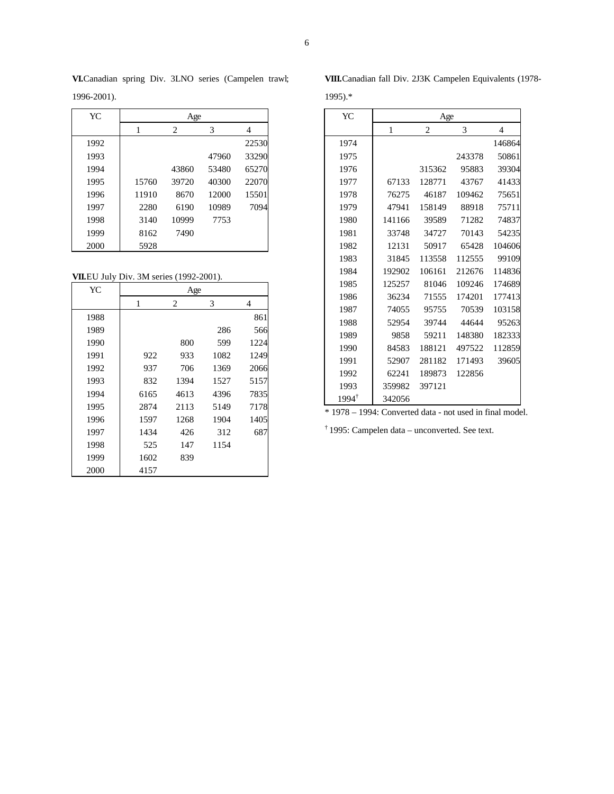| YC   | Age   |       |       |       |  |  |
|------|-------|-------|-------|-------|--|--|
|      | 1     | 4     |       |       |  |  |
| 1992 |       |       |       | 22530 |  |  |
| 1993 |       |       | 47960 | 33290 |  |  |
| 1994 |       | 43860 | 53480 | 65270 |  |  |
| 1995 | 15760 | 39720 | 40300 | 22070 |  |  |
| 1996 | 11910 | 8670  | 12000 | 15501 |  |  |
| 1997 | 2280  | 6190  | 10989 | 7094  |  |  |
| 1998 | 3140  | 10999 | 7753  |       |  |  |
| 1999 | 8162  | 7490  |       |       |  |  |
| 2000 | 5928  |       |       |       |  |  |

**VI.**Canadian spring Div. 3LNO series (Campelen trawl; 1996-2001).

**VII.**EU July Div. 3M series (1992-2001).

| YC   | Age  |                |      |      |  |  |  |
|------|------|----------------|------|------|--|--|--|
|      | 1    | $\overline{2}$ | 3    | 4    |  |  |  |
| 1988 |      |                |      | 861  |  |  |  |
| 1989 |      |                | 286  | 566  |  |  |  |
| 1990 |      | 800            | 599  | 1224 |  |  |  |
| 1991 | 922  | 933            | 1082 | 1249 |  |  |  |
| 1992 | 937  | 706            | 1369 | 2066 |  |  |  |
| 1993 | 832  | 1394           | 1527 | 5157 |  |  |  |
| 1994 | 6165 | 4613           | 4396 | 7835 |  |  |  |
| 1995 | 2874 | 2113           | 5149 | 7178 |  |  |  |
| 1996 | 1597 | 1268           | 1904 | 1405 |  |  |  |
| 1997 | 1434 | 426            | 312  | 687  |  |  |  |
| 1998 | 525  | 147            | 1154 |      |  |  |  |
| 1999 | 1602 | 839            |      |      |  |  |  |
| 2000 | 4157 |                |      |      |  |  |  |

**VIII.**Canadian fall Div. 2J3K Campelen Equivalents (1978-

1995).\*

| YC               | Age                 |        |        |        |
|------------------|---------------------|--------|--------|--------|
|                  | $\overline{2}$<br>1 |        | 3      | 4      |
| 1974             |                     |        |        | 146864 |
| 1975             |                     |        | 243378 | 50861  |
| 1976             |                     | 315362 | 95883  | 39304  |
| 1977             | 67133               | 128771 | 43767  | 41433  |
| 1978             | 76275               | 46187  | 109462 | 75651  |
| 1979             | 47941               | 158149 | 88918  | 75711  |
| 1980             | 141166              | 39589  | 71282  | 74837  |
| 1981             | 33748               | 34727  | 70143  | 54235  |
| 1982             | 12131               | 50917  | 65428  | 104606 |
| 1983             | 31845               | 113558 | 112555 | 99109  |
| 1984             | 192902              | 106161 | 212676 | 114836 |
| 1985             | 125257              | 81046  | 109246 | 174689 |
| 1986             | 36234               | 71555  | 174201 | 177413 |
| 1987             | 74055               | 95755  | 70539  | 103158 |
| 1988             | 52954               | 39744  | 44644  | 95263  |
| 1989             | 9858                | 59211  | 148380 | 182333 |
| 1990             | 84583               | 188121 | 497522 | 112859 |
| 1991             | 52907               | 281182 | 171493 | 39605  |
| 1992             | 62241               | 189873 | 122856 |        |
| 1993             | 359982              | 397121 |        |        |
| $1994^{\dagger}$ | 342056              |        |        |        |

\* 1978 – 1994: Converted data - not used in final model.

† 1995: Campelen data – unconverted. See text.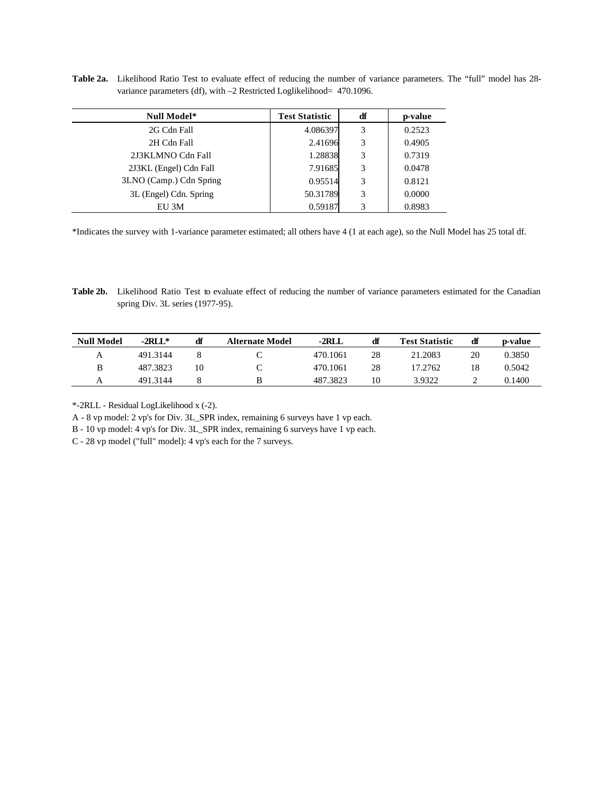**Table 2a.** Likelihood Ratio Test to evaluate effect of reducing the number of variance parameters. The "full" model has 28 variance parameters (df), with -2 Restricted Loglikelihood= 470.1096.

| Null Model*             | <b>Test Statistic</b> | df | p-value |
|-------------------------|-----------------------|----|---------|
| 2G Cdn Fall             | 4.086397              | 3  | 0.2523  |
| 2H Cdn Fall             | 2.41696               | 3  | 0.4905  |
| 2J3KLMNO Cdn Fall       | 1.28838               | 3  | 0.7319  |
| 2J3KL (Engel) Cdn Fall  | 7.91685               | 3  | 0.0478  |
| 3LNO (Camp.) Cdn Spring | 0.95514               | 3  | 0.8121  |
| 3L (Engel) Cdn. Spring  | 50.31789              | 3  | 0.0000  |
| EU 3M                   | 0.59187               | 3  | 0.8983  |

\*Indicates the survey with 1-variance parameter estimated; all others have 4 (1 at each age), so the Null Model has 25 total df.

**Table 2b.** Likelihood Ratio Test to evaluate effect of reducing the number of variance parameters estimated for the Canadian spring Div. 3L series (1977-95).

| <b>Null Model</b> | $-2RLL^*$ | df | <b>Alternate Model</b> | $-2RLL$  | df | <b>Test Statistic</b> | df | p-value |
|-------------------|-----------|----|------------------------|----------|----|-----------------------|----|---------|
| А                 | 491.3144  |    |                        | 470.1061 | 28 | 21.2083               | 20 | 0.3850  |
| B                 | 487.3823  | 10 |                        | 470.1061 | 28 | 17.2762               | 18 | 0.5042  |
|                   | 491.3144  |    |                        | 487.3823 | 10 | 3.9322                |    | 0.1400  |

\*-2RLL - Residual LogLikelihood x (-2).

A - 8 vp model: 2 vp's for Div. 3L\_SPR index, remaining 6 surveys have 1 vp each.

B - 10 vp model: 4 vp's for Div. 3L\_SPR index, remaining 6 surveys have 1 vp each.

C - 28 vp model ("full" model): 4 vp's each for the 7 surveys.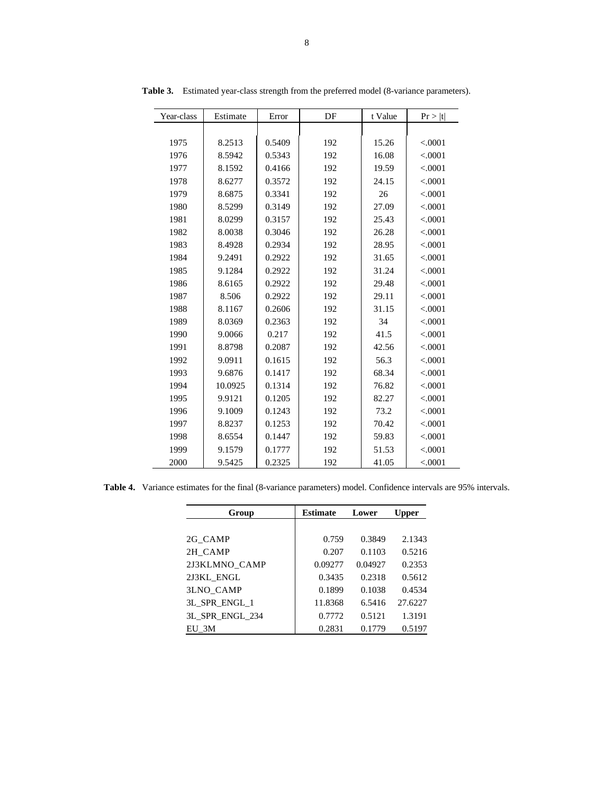| Year-class | Estimate | Error  | DF  | t Value | Pr >  t  |
|------------|----------|--------|-----|---------|----------|
|            |          |        |     |         |          |
| 1975       | 8.2513   | 0.5409 | 192 | 15.26   | < .0001  |
| 1976       | 8.5942   | 0.5343 | 192 | 16.08   | < .0001  |
| 1977       | 8.1592   | 0.4166 | 192 | 19.59   | < .0001  |
| 1978       | 8.6277   | 0.3572 | 192 | 24.15   | < .0001  |
| 1979       | 8.6875   | 0.3341 | 192 | 26      | < .0001  |
| 1980       | 8.5299   | 0.3149 | 192 | 27.09   | < .0001  |
| 1981       | 8.0299   | 0.3157 | 192 | 25.43   | < .0001  |
| 1982       | 8.0038   | 0.3046 | 192 | 26.28   | < .0001  |
| 1983       | 8.4928   | 0.2934 | 192 | 28.95   | < .0001  |
| 1984       | 9.2491   | 0.2922 | 192 | 31.65   | < .0001  |
| 1985       | 9.1284   | 0.2922 | 192 | 31.24   | < .0001  |
| 1986       | 8.6165   | 0.2922 | 192 | 29.48   | < .0001  |
| 1987       | 8.506    | 0.2922 | 192 | 29.11   | < .0001  |
| 1988       | 8.1167   | 0.2606 | 192 | 31.15   | < .0001  |
| 1989       | 8.0369   | 0.2363 | 192 | 34      | < .0001  |
| 1990       | 9.0066   | 0.217  | 192 | 41.5    | < .0001  |
| 1991       | 8.8798   | 0.2087 | 192 | 42.56   | < .0001  |
| 1992       | 9.0911   | 0.1615 | 192 | 56.3    | < .0001  |
| 1993       | 9.6876   | 0.1417 | 192 | 68.34   | < .0001  |
| 1994       | 10.0925  | 0.1314 | 192 | 76.82   | < .0001  |
| 1995       | 9.9121   | 0.1205 | 192 | 82.27   | < .0001  |
| 1996       | 9.1009   | 0.1243 | 192 | 73.2    | < .0001  |
| 1997       | 8.8237   | 0.1253 | 192 | 70.42   | < .0001  |
| 1998       | 8.6554   | 0.1447 | 192 | 59.83   | < .0001  |
| 1999       | 9.1579   | 0.1777 | 192 | 51.53   | < .0001  |
| 2000       | 9.5425   | 0.2325 | 192 | 41.05   | < 0.0001 |

**Table 3.** Estimated year-class strength from the preferred model (8-variance parameters).

**Table 4.** Variance estimates for the final (8-variance parameters) model. Confidence intervals are 95% intervals.

| Group           | <b>Estimate</b> | Lower   | Upper   |
|-----------------|-----------------|---------|---------|
|                 |                 |         |         |
| 2G_CAMP         | 0.759           | 0.3849  | 2.1343  |
| 2H CAMP         | 0.207           | 0.1103  | 0.5216  |
| 2J3KLMNO CAMP   | 0.09277         | 0.04927 | 0.2353  |
| 2J3KL ENGL      | 0.3435          | 0.2318  | 0.5612  |
| 3LNO_CAMP       | 0.1899          | 0.1038  | 0.4534  |
| 3L SPR ENGL 1   | 11.8368         | 6.5416  | 27.6227 |
| 3L SPR ENGL 234 | 0.7772          | 0.5121  | 1.3191  |
| EU 3M           | 0.2831          | 0.1779  | 0.5197  |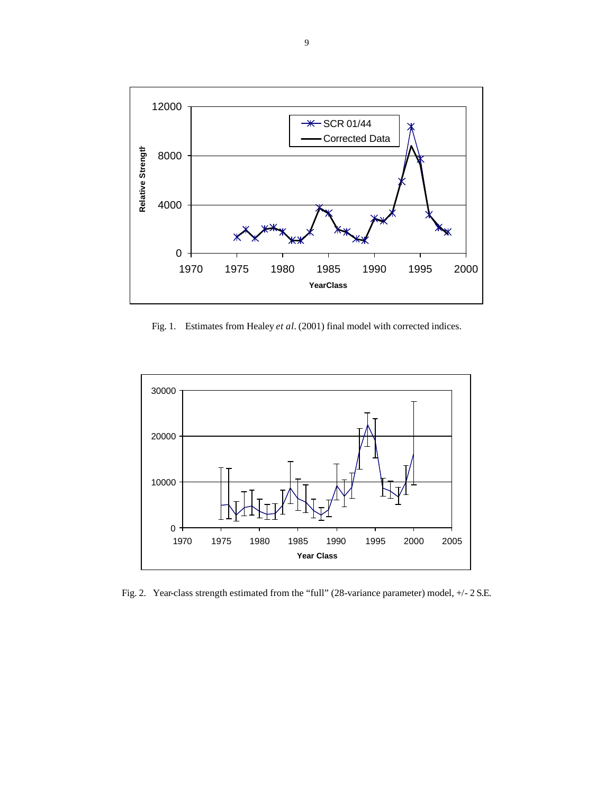

Fig. 1.Estimates from Healey *et al.* (2001) final model with corrected indices.



Fig. 2. Year-class strength estimated from the "full" (28-variance parameter) model, +/- 2 S.E.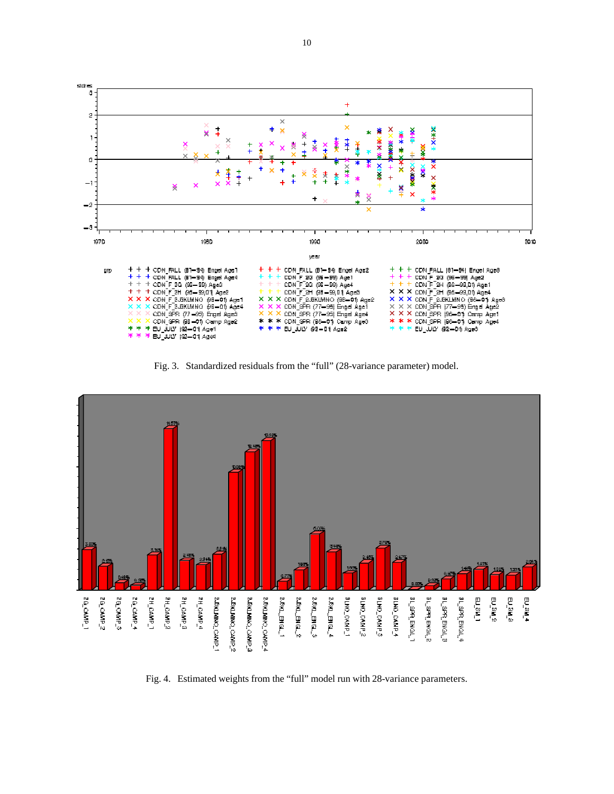

Fig. 3. Standardized residuals from the "full" (28-variance parameter) model.



Fig. 4. Estimated weights from the "full" model run with 28-variance parameters.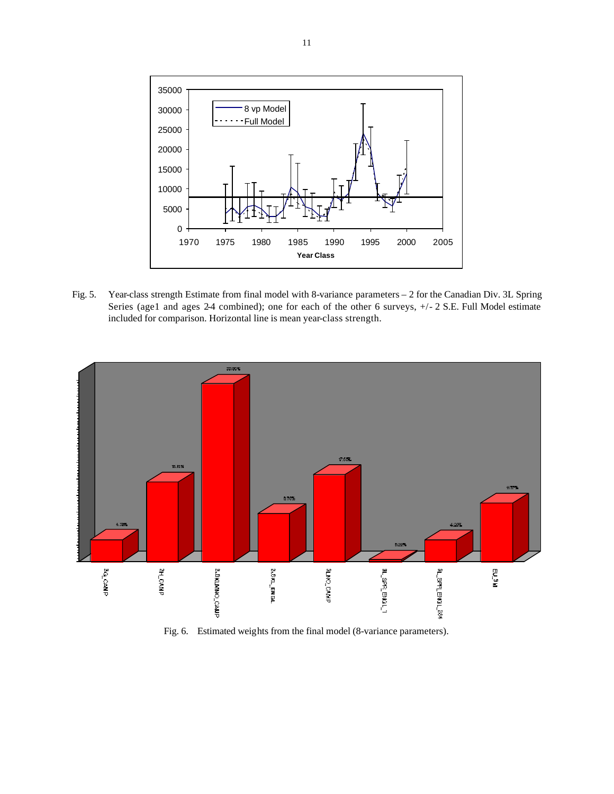

Fig. 5. Year-class strength Estimate from final model with 8-variance parameters – 2 for the Canadian Div. 3L Spring Series (age1 and ages 2-4 combined); one for each of the other 6 surveys,  $+/- 2$  S.E. Full Model estimate included for comparison. Horizontal line is mean year-class strength.



Fig. 6. Estimated weights from the final model (8-variance parameters).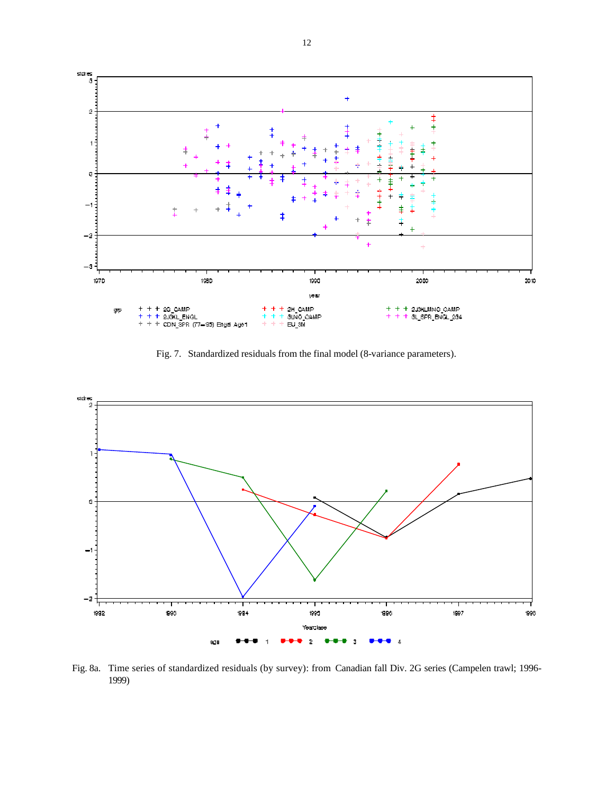

Fig. 7. Standardized residuals from the final model (8-variance parameters).



Fig. 8a. Time series of standardized residuals (by survey): from Canadian fall Div. 2G series (Campelen trawl; 1996- 1999)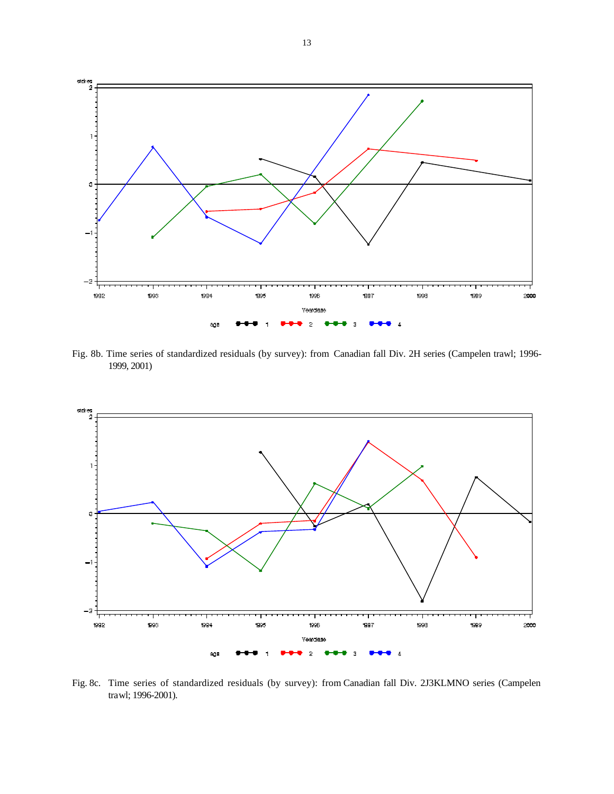

Fig. 8b. Time series of standardized residuals (by survey): from Canadian fall Div. 2H series (Campelen trawl; 1996- 1999, 2001)



Fig. 8c. Time series of standardized residuals (by survey): from Canadian fall Div. 2J3KLMNO series (Campelen trawl; 1996-2001).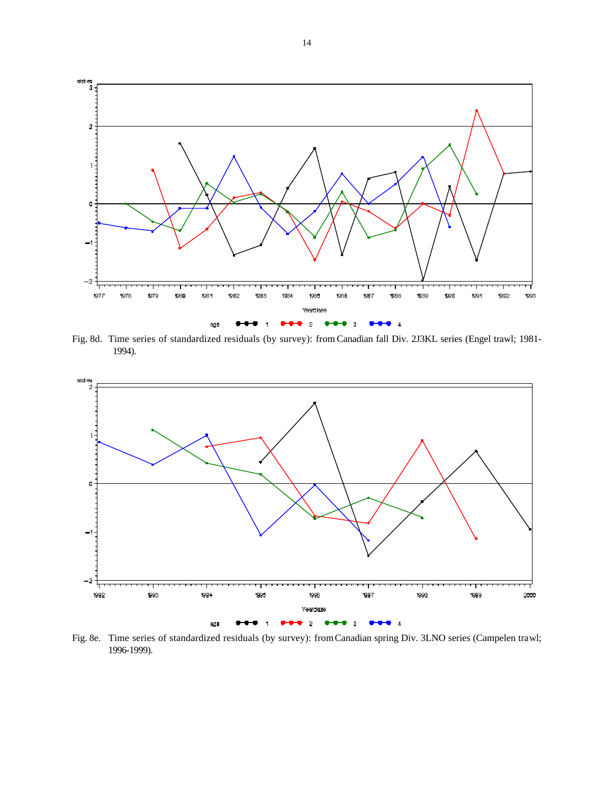

Fig. 8d. Time series of standardized residuals (by survey): from Canadian fall Div. 2J3KL series (Engel trawl; 1981- 1994).



Fig. 8e. Time series of standardized residuals (by survey): from Canadian spring Div. 3LNO series (Campelen trawl; 1996-1999).